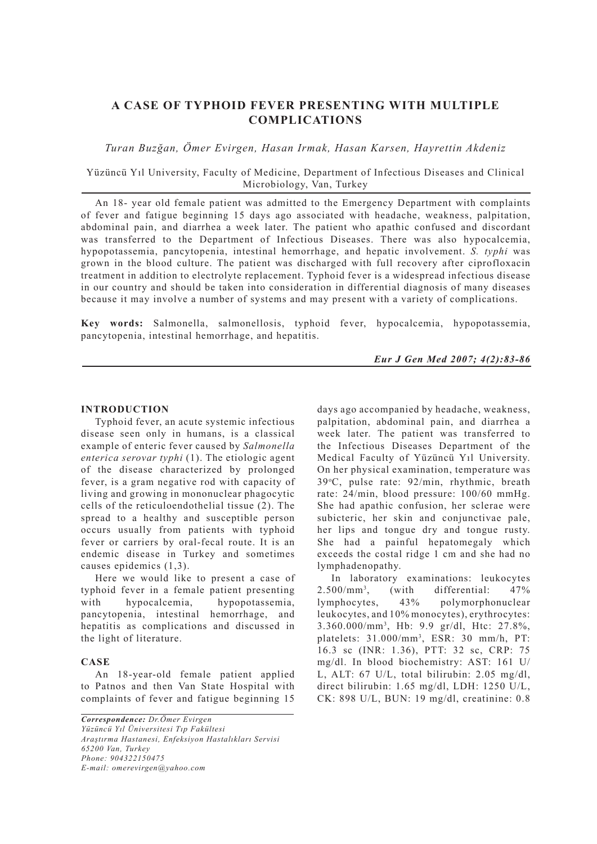# **A CASE OF TYPHOID FEVER PRESENTING WITH MULTIPLE COMPLICATIONS**

*Turan Buzğan, Ömer Evirgen, Hasan Irmak, Hasan Karsen, Hayrettin Akdeniz*

Yüzüncü Yıl University, Faculty of Medicine, Department of Infectious Diseases and Clinical Microbiology, Van, Turkey

An 18- year old female patient was admitted to the Emergency Department with complaints of fever and fatigue beginning 15 days ago associated with headache, weakness, palpitation, abdominal pain, and diarrhea a week later. The patient who apathic confused and discordant was transferred to the Department of Infectious Diseases. There was also hypocalcemia, hypopotassemia, pancytopenia, intestinal hemorrhage, and hepatic involvement. *S. typhi* was grown in the blood culture. The patient was discharged with full recovery after ciprofloxacin treatment in addition to electrolyte replacement. Typhoid fever is a widespread infectious disease in our country and should be taken into consideration in differential diagnosis of many diseases because it may involve a number of systems and may present with a variety of complications.

**Key words:** Salmonella, salmonellosis, typhoid fever, hypocalcemia, hypopotassemia, pancytopenia, intestinal hemorrhage, and hepatitis.

*Eur J Gen Med 2007; 4(2):83-86*

#### **INTRODUCTION**

Typhoid fever, an acute systemic infectious disease seen only in humans, is a classical example of enteric fever caused by *Salmonella enterica serovar typhi* (1). The etiologic agent of the disease characterized by prolonged fever, is a gram negative rod with capacity of living and growing in mononuclear phagocytic cells of the reticuloendothelial tissue (2). The spread to a healthy and susceptible person occurs usually from patients with typhoid fever or carriers by oral-fecal route. It is an endemic disease in Turkey and sometimes causes epidemics (1,3).

Here we would like to present a case of typhoid fever in a female patient presenting with hypocalcemia, hypopotassemia, pancytopenia, intestinal hemorrhage, and hepatitis as complications and discussed in the light of literature.

## **CASE**

An 18-year-old female patient applied to Patnos and then Van State Hospital with complaints of fever and fatigue beginning 15

*Correspondence: Dr.Ömer Evirgen Yüzüncü Yıl Üniversitesi Tıp Fakültesi Araştırma Hastanesi, Enfeksiyon Hastalıkları Servisi 65200 Van, Turkey Phone: 904322150475 E-mail: omerevirgen@yahoo.com*

days ago accompanied by headache, weakness, palpitation, abdominal pain, and diarrhea a week later. The patient was transferred to the Infectious Diseases Department of the Medical Faculty of Yüzüncü Yıl University. On her physical examination, temperature was 39o C, pulse rate: 92/min, rhythmic, breath rate: 24/min, blood pressure: 100/60 mmHg. She had apathic confusion, her sclerae were subicteric, her skin and conjunctivae pale, her lips and tongue dry and tongue rusty. She had a painful hepatomegaly which exceeds the costal ridge 1 cm and she had no lymphadenopathy.

In laboratory examinations: leukocytes  $2.500/mm^3$ , , (with differential: 47% lymphocytes, 43% polymorphonuclear leukocytes, and 10% monocytes), erythrocytes: 3.360.000/mm3 , Hb: 9.9 gr/dl, Htc: 27.8%, platelets: 31.000/mm3 , ESR: 30 mm/h, PT: 16.3 sc (INR: 1.36), PTT: 32 sc, CRP: 75 mg/dl. In blood biochemistry: AST: 161 U/ L, ALT: 67 U/L, total bilirubin: 2.05 mg/dl, direct bilirubin: 1.65 mg/dl, LDH: 1250 U/L, CK: 898 U/L, BUN: 19 mg/dl, creatinine: 0.8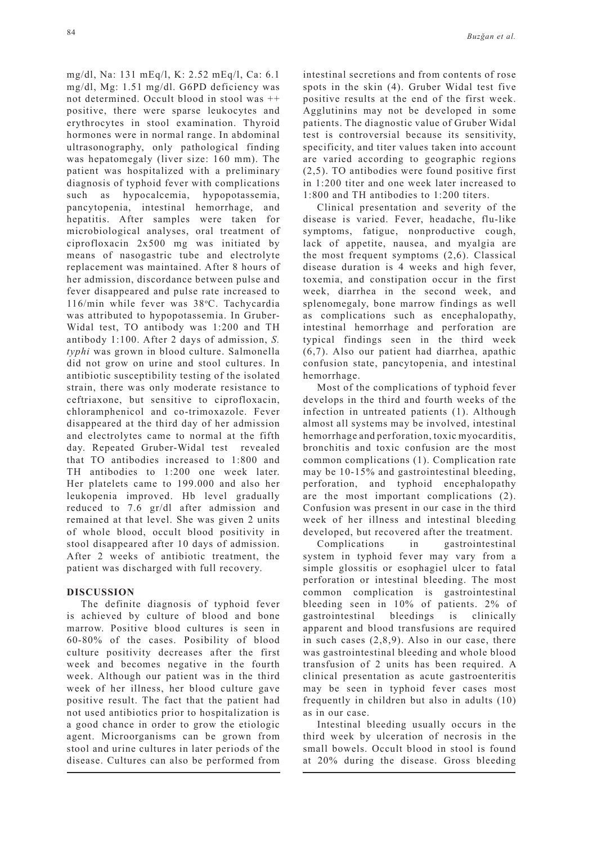mg/dl, Na: 131 mEq/l, K: 2.52 mEq/l, Ca: 6.1 mg/dl, Mg: 1.51 mg/dl. G6PD deficiency was not determined. Occult blood in stool was ++ positive, there were sparse leukocytes and erythrocytes in stool examination. Thyroid hormones were in normal range. In abdominal ultrasonography, only pathological finding was hepatomegaly (liver size: 160 mm). The patient was hospitalized with a preliminary diagnosis of typhoid fever with complications such as hypocalcemia, hypopotassemia, pancytopenia, intestinal hemorrhage, and hepatitis. After samples were taken for microbiological analyses, oral treatment of ciprofloxacin 2x500 mg was initiated by means of nasogastric tube and electrolyte replacement was maintained. After 8 hours of her admission, discordance between pulse and fever disappeared and pulse rate increased to 116/min while fever was 38°C. Tachycardia was attributed to hypopotassemia. In Gruber-Widal test, TO antibody was 1:200 and TH antibody 1:100. After 2 days of admission, *S. typhi* was grown in blood culture. Salmonella did not grow on urine and stool cultures. In antibiotic susceptibility testing of the isolated strain, there was only moderate resistance to ceftriaxone, but sensitive to ciprofloxacin, chloramphenicol and co-trimoxazole. Fever disappeared at the third day of her admission and electrolytes came to normal at the fifth day. Repeated Gruber-Widal test revealed that TO antibodies increased to 1:800 and TH antibodies to 1:200 one week later. Her platelets came to 199.000 and also her leukopenia improved. Hb level gradually reduced to 7.6 gr/dl after admission and remained at that level. She was given 2 units of whole blood, occult blood positivity in stool disappeared after 10 days of admission. After 2 weeks of antibiotic treatment, the patient was discharged with full recovery.

## **DISCUSSION**

The definite diagnosis of typhoid fever is achieved by culture of blood and bone marrow. Positive blood cultures is seen in 60-80% of the cases. Posibility of blood culture positivity decreases after the first week and becomes negative in the fourth week. Although our patient was in the third week of her illness, her blood culture gave positive result. The fact that the patient had not used antibiotics prior to hospitalization is a good chance in order to grow the etiologic agent. Microorganisms can be grown from stool and urine cultures in later periods of the disease. Cultures can also be performed from intestinal secretions and from contents of rose spots in the skin (4). Gruber Widal test five positive results at the end of the first week. Agglutinins may not be developed in some patients. The diagnostic value of Gruber Widal test is controversial because its sensitivity, specificity, and titer values taken into account are varied according to geographic regions (2,5). TO antibodies were found positive first in 1:200 titer and one week later increased to 1:800 and TH antibodies to 1:200 titers.

Clinical presentation and severity of the disease is varied. Fever, headache, flu-like symptoms, fatigue, nonproductive cough, lack of appetite, nausea, and myalgia are the most frequent symptoms (2,6). Classical disease duration is 4 weeks and high fever, toxemia, and constipation occur in the first week, diarrhea in the second week, and splenomegaly, bone marrow findings as well as complications such as encephalopathy, intestinal hemorrhage and perforation are typical findings seen in the third week (6,7). Also our patient had diarrhea, apathic confusion state, pancytopenia, and intestinal hemorrhage.

Most of the complications of typhoid fever develops in the third and fourth weeks of the infection in untreated patients (1). Although almost all systems may be involved, intestinal hemorrhage and perforation, toxic myocarditis, bronchitis and toxic confusion are the most common complications (1). Complication rate may be 10-15% and gastrointestinal bleeding, perforation, and typhoid encephalopathy are the most important complications (2). Confusion was present in our case in the third week of her illness and intestinal bleeding developed, but recovered after the treatment.

Complications in gastrointestinal system in typhoid fever may vary from a simple glossitis or esophagiel ulcer to fatal perforation or intestinal bleeding. The most common complication is gastrointestinal bleeding seen in 10% of patients. 2% of gastrointestinal bleedings is clinically apparent and blood transfusions are required in such cases (2,8,9). Also in our case, there was gastrointestinal bleeding and whole blood transfusion of 2 units has been required. A clinical presentation as acute gastroenteritis may be seen in typhoid fever cases most frequently in children but also in adults (10) as in our case.

Intestinal bleeding usually occurs in the third week by ulceration of necrosis in the small bowels. Occult blood in stool is found at 20% during the disease. Gross bleeding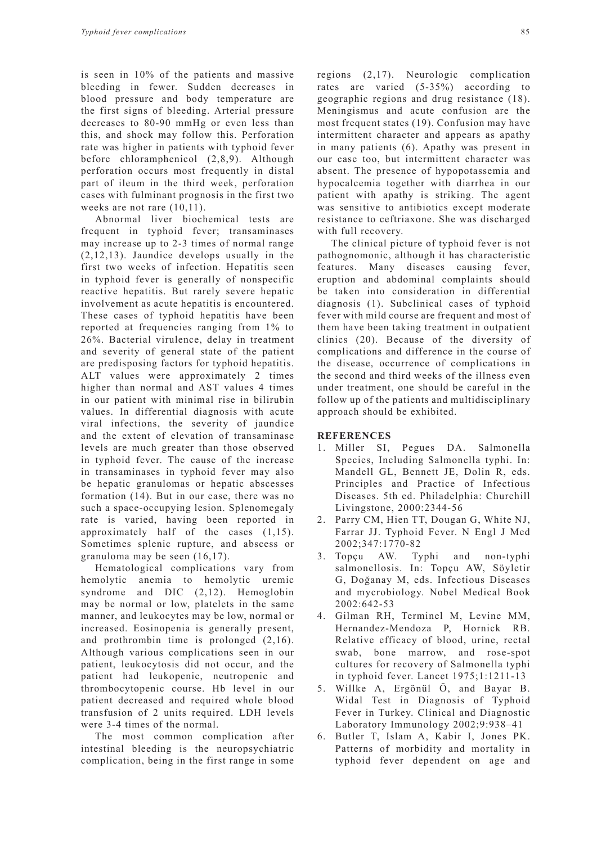is seen in 10% of the patients and massive bleeding in fewer. Sudden decreases in blood pressure and body temperature are the first signs of bleeding. Arterial pressure decreases to 80-90 mmHg or even less than this, and shock may follow this. Perforation rate was higher in patients with typhoid fever before chloramphenicol (2,8,9). Although perforation occurs most frequently in distal part of ileum in the third week, perforation cases with fulminant prognosis in the first two weeks are not rare  $(10,11)$ .

Abnormal liver biochemical tests are frequent in typhoid fever; transaminases may increase up to 2-3 times of normal range (2,12,13). Jaundice develops usually in the first two weeks of infection. Hepatitis seen in typhoid fever is generally of nonspecific reactive hepatitis. But rarely severe hepatic involvement as acute hepatitis is encountered. These cases of typhoid hepatitis have been reported at frequencies ranging from 1% to 26%. Bacterial virulence, delay in treatment and severity of general state of the patient are predisposing factors for typhoid hepatitis. ALT values were approximately 2 times higher than normal and AST values 4 times in our patient with minimal rise in bilirubin values. In differential diagnosis with acute viral infections, the severity of jaundice and the extent of elevation of transaminase levels are much greater than those observed in typhoid fever. The cause of the increase in transaminases in typhoid fever may also be hepatic granulomas or hepatic abscesses formation (14). But in our case, there was no such a space-occupying lesion. Splenomegaly rate is varied, having been reported in approximately half of the cases (1,15). Sometimes splenic rupture, and abscess or granuloma may be seen (16,17).

Hematological complications vary from hemolytic anemia to hemolytic uremic syndrome and DIC (2,12). Hemoglobin may be normal or low, platelets in the same manner, and leukocytes may be low, normal or increased. Eosinopenia is generally present, and prothrombin time is prolonged (2,16). Although various complications seen in our patient, leukocytosis did not occur, and the patient had leukopenic, neutropenic and thrombocytopenic course. Hb level in our patient decreased and required whole blood transfusion of 2 units required. LDH levels were 3-4 times of the normal.

The most common complication after intestinal bleeding is the neuropsychiatric complication, being in the first range in some regions (2,17). Neurologic complication rates are varied (5-35%) according to geographic regions and drug resistance (18). Meningismus and acute confusion are the most frequent states (19). Confusion may have intermittent character and appears as apathy in many patients (6). Apathy was present in our case too, but intermittent character was absent. The presence of hypopotassemia and hypocalcemia together with diarrhea in our patient with apathy is striking. The agent was sensitive to antibiotics except moderate resistance to ceftriaxone. She was discharged with full recovery.

The clinical picture of typhoid fever is not pathognomonic, although it has characteristic features. Many diseases causing fever, eruption and abdominal complaints should be taken into consideration in differential diagnosis (1). Subclinical cases of typhoid fever with mild course are frequent and most of them have been taking treatment in outpatient clinics (20). Because of the diversity of complications and difference in the course of the disease, occurrence of complications in the second and third weeks of the illness even under treatment, one should be careful in the follow up of the patients and multidisciplinary approach should be exhibited.

#### **REFERENCES**

- 1. Miller SI, Pegues DA. Salmonella Species, Including Salmonella typhi. In: Mandell GL, Bennett JE, Dolin R, eds. Principles and Practice of Infectious Diseases. 5th ed. Philadelphia: Churchill Livingstone, 2000:2344-56
- 2. Parry CM, Hien TT, Dougan G, White NJ, Farrar JJ. Typhoid Fever. N Engl J Med 2002;347:1770-82
- 3. Topçu AW. Typhi and non-typhi salmonellosis. In: Topçu AW, Söyletir G, Doğanay M, eds. Infectious Diseases and mycrobiology. Nobel Medical Book 2002:642-53
- 4. Gilman RH, Terminel M, Levine MM, Hernandez-Mendoza P, Hornick RB. Relative efficacy of blood, urine, rectal swab, bone marrow, and rose-spot cultures for recovery of Salmonella typhi in typhoid fever. Lancet 1975;1:1211-13
- 5. Willke A, Ergönül Ö, and Bayar B. Widal Test in Diagnosis of Typhoid Fever in Turkey. Clinical and Diagnostic Laboratory Immunology 2002;9:938–41
- 6. Butler T, Islam A, Kabir I, Jones PK. Patterns of morbidity and mortality in typhoid fever dependent on age and